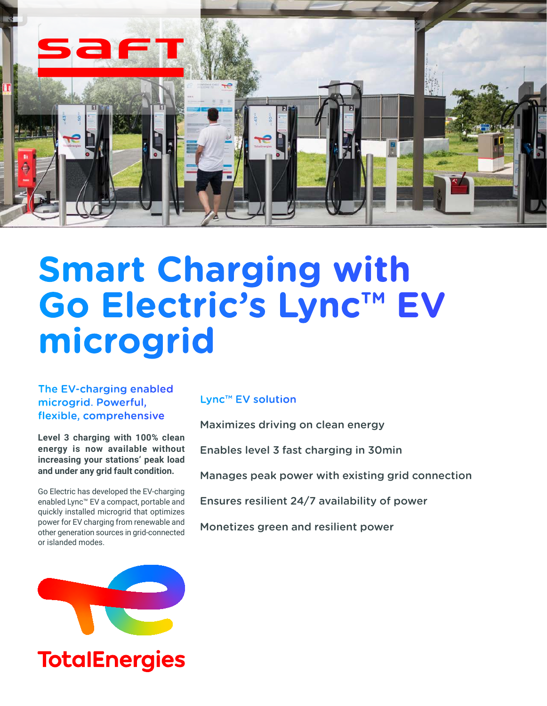

# **Smart Charging with Go Electric's Lync™ EV microgrid**

The EV-charging enabled microgrid. Powerful, flexible, comprehensive

**Level 3 charging with 100% clean energy is now available without increasing your stations' peak load and under any grid fault condition.**

Go Electric has developed the EV-charging enabled Lync™ EV a compact, portable and quickly installed microgrid that optimizes power for EV charging from renewable and other generation sources in grid-connected or islanded modes.



# Lync™ EV solution

Maximizes driving on clean energy

Enables level 3 fast charging in 30min

Manages peak power with existing grid connection

Ensures resilient 24/7 availability of power

Monetizes green and resilient power